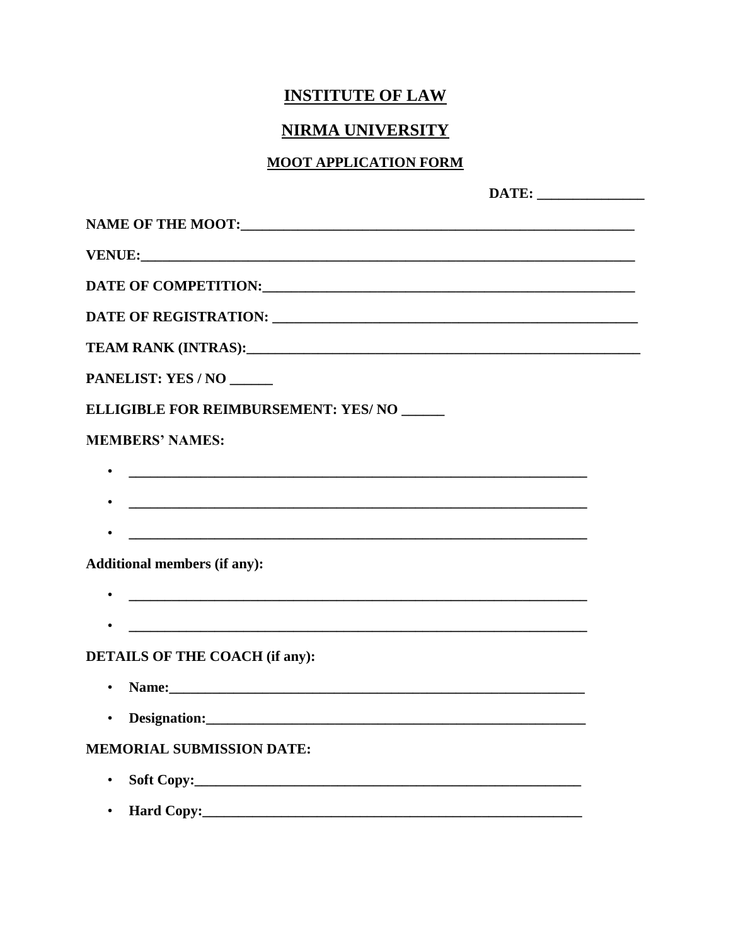# **INSTITUTE OF LAW**

# **NIRMA UNIVERSITY**

#### **MOOT APPLICATION FORM**

| DATE OF COMPETITION: UNIVERSITY OF COMPETITION:                                                                             |  |
|-----------------------------------------------------------------------------------------------------------------------------|--|
|                                                                                                                             |  |
|                                                                                                                             |  |
| PANELIST: YES / NO                                                                                                          |  |
| ELLIGIBLE FOR REIMBURSEMENT: YES/NO                                                                                         |  |
| <b>MEMBERS' NAMES:</b>                                                                                                      |  |
| <u> 1989 - Johann John Harry Harry Harry Harry Harry Harry Harry Harry Harry Harry Harry Harry Harry Harry Harry H</u>      |  |
| <u> 1989 - Jan Barnett, fransk politiker (d. 1989)</u>                                                                      |  |
|                                                                                                                             |  |
| <b>Additional members (if any):</b>                                                                                         |  |
| <u> 1989 - Jan Barnett, fransk politiker (d. 1989)</u>                                                                      |  |
| <u> 2000 - 2000 - 2000 - 2000 - 2000 - 2000 - 2000 - 2000 - 2000 - 2000 - 2000 - 2000 - 2000 - 2000 - 2000 - 200</u>        |  |
| <b>DETAILS OF THE COACH (if any):</b>                                                                                       |  |
| Name: 2008. 2008. 2010. 2010. 2010. 2010. 2010. 2010. 2010. 2010. 2010. 2010. 2010. 2010. 2010. 2010. 2010. 20<br>$\bullet$ |  |
|                                                                                                                             |  |
| <b>MEMORIAL SUBMISSION DATE:</b>                                                                                            |  |
| $\bullet$                                                                                                                   |  |
| $\bullet$                                                                                                                   |  |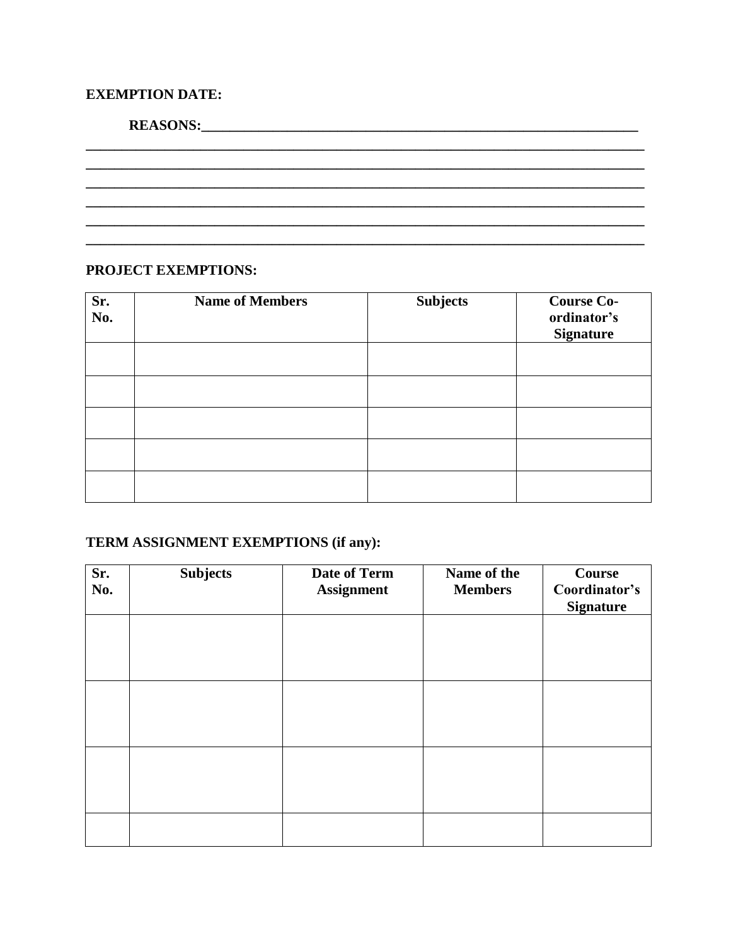## **EXEMPTION DATE:**

| <b>REASONS:</b> |  |  |  |
|-----------------|--|--|--|
|                 |  |  |  |
|                 |  |  |  |
|                 |  |  |  |
|                 |  |  |  |
|                 |  |  |  |
|                 |  |  |  |

#### PROJECT EXEMPTIONS:

| Sr.<br>No. | <b>Name of Members</b> | <b>Subjects</b> | <b>Course Co-</b><br>ordinator's<br><b>Signature</b> |
|------------|------------------------|-----------------|------------------------------------------------------|
|            |                        |                 |                                                      |
|            |                        |                 |                                                      |
|            |                        |                 |                                                      |
|            |                        |                 |                                                      |
|            |                        |                 |                                                      |

# TERM ASSIGNMENT EXEMPTIONS (if any):

| Sr.<br>No. | <b>Subjects</b> | Date of Term<br><b>Assignment</b> | Name of the<br><b>Members</b> | Course<br>Coordinator's<br><b>Signature</b> |
|------------|-----------------|-----------------------------------|-------------------------------|---------------------------------------------|
|            |                 |                                   |                               |                                             |
|            |                 |                                   |                               |                                             |
|            |                 |                                   |                               |                                             |
|            |                 |                                   |                               |                                             |
|            |                 |                                   |                               |                                             |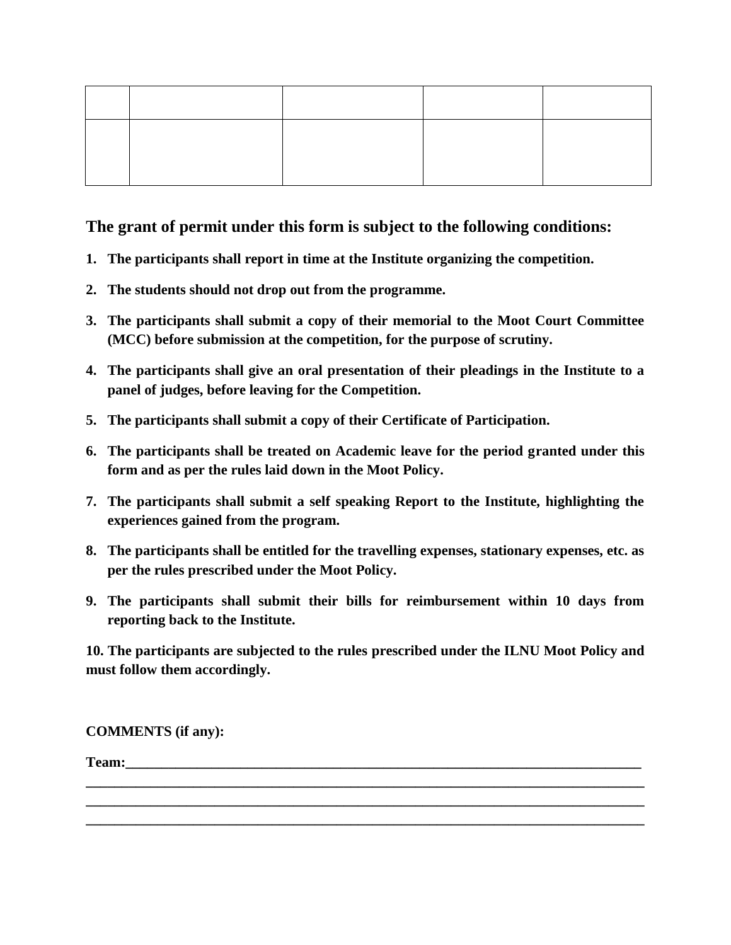### **The grant of permit under this form is subject to the following conditions:**

- **1. The participants shall report in time at the Institute organizing the competition.**
- **2. The students should not drop out from the programme.**
- **3. The participants shall submit a copy of their memorial to the Moot Court Committee (MCC) before submission at the competition, for the purpose of scrutiny.**
- **4. The participants shall give an oral presentation of their pleadings in the Institute to a panel of judges, before leaving for the Competition.**
- **5. The participants shall submit a copy of their Certificate of Participation.**
- **6. The participants shall be treated on Academic leave for the period granted under this form and as per the rules laid down in the Moot Policy.**
- **7. The participants shall submit a self speaking Report to the Institute, highlighting the experiences gained from the program.**
- **8. The participants shall be entitled for the travelling expenses, stationary expenses, etc. as per the rules prescribed under the Moot Policy.**
- **9. The participants shall submit their bills for reimbursement within 10 days from reporting back to the Institute.**

**10. The participants are subjected to the rules prescribed under the ILNU Moot Policy and must follow them accordingly.**

**\_\_\_\_\_\_\_\_\_\_\_\_\_\_\_\_\_\_\_\_\_\_\_\_\_\_\_\_\_\_\_\_\_\_\_\_\_\_\_\_\_\_\_\_\_\_\_\_\_\_\_\_\_\_\_\_\_\_\_\_\_\_\_\_\_\_\_\_\_\_\_\_\_\_\_\_\_\_ \_\_\_\_\_\_\_\_\_\_\_\_\_\_\_\_\_\_\_\_\_\_\_\_\_\_\_\_\_\_\_\_\_\_\_\_\_\_\_\_\_\_\_\_\_\_\_\_\_\_\_\_\_\_\_\_\_\_\_\_\_\_\_\_\_\_\_\_\_\_\_\_\_\_\_\_\_\_ \_\_\_\_\_\_\_\_\_\_\_\_\_\_\_\_\_\_\_\_\_\_\_\_\_\_\_\_\_\_\_\_\_\_\_\_\_\_\_\_\_\_\_\_\_\_\_\_\_\_\_\_\_\_\_\_\_\_\_\_\_\_\_\_\_\_\_\_\_\_\_\_\_\_\_\_\_\_**

**COMMENTS (if any):**

**Team:**